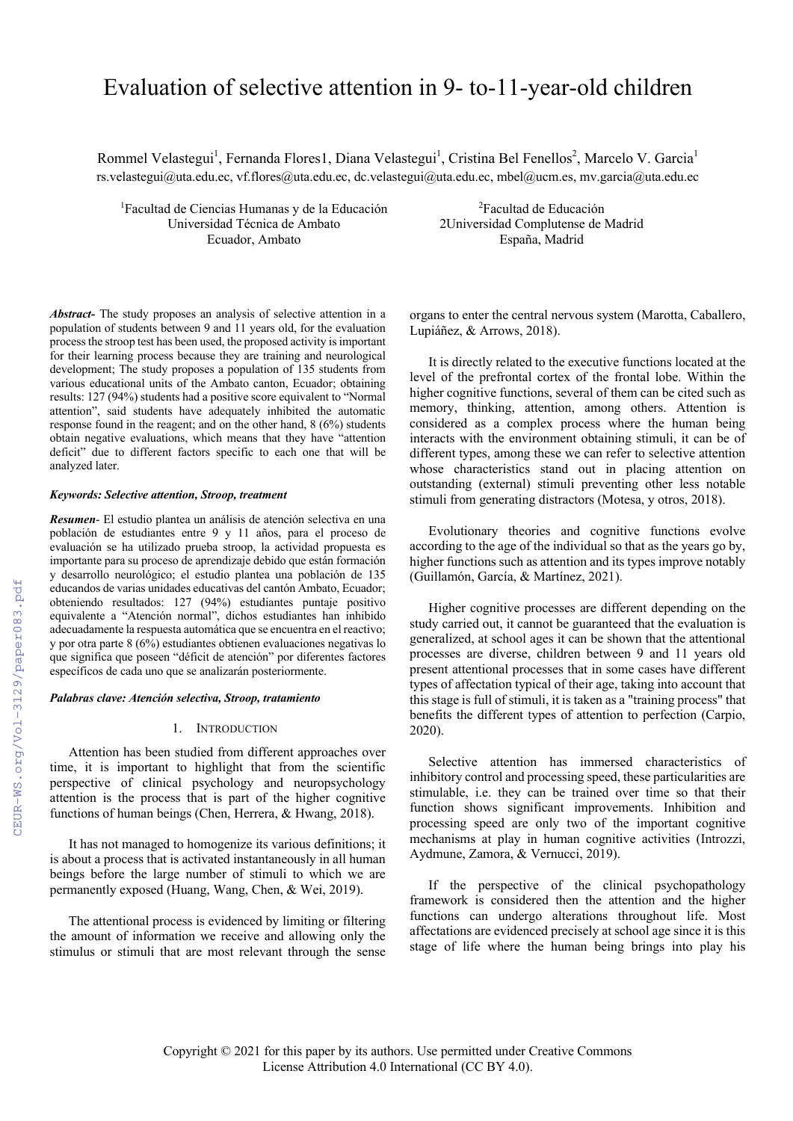# Evaluation of selective attention in 9- to-11-year-old children

Rommel Velastegui<sup>1</sup>, Fernanda Flores1, Diana Velastegui<sup>1</sup>, Cristina Bel Fenellos<sup>2</sup>, Marcelo V. Garcia<sup>1</sup> rs.velastegui@uta.edu.ec, vf.flores@uta.edu.ec, dc.velastegui@uta.edu.ec, mbel@ucm.es, mv.garcia@uta.edu.ec

<sup>1</sup>Facultad de Ciencias Humanas y de la Educación<sup>2</sup> Universidad Técnica de Ambato 2Universidad Complutense de Madrid Ecuador, Ambato España, Madrid

Facultad de Educación

*Abstract-* The study proposes an analysis of selective attention in a population of students between 9 and 11 years old, for the evaluation process the stroop test has been used, the proposed activity is important for their learning process because they are training and neurological development; The study proposes a population of 135 students from various educational units of the Ambato canton, Ecuador; obtaining results: 127 (94%) students had a positive score equivalent to "Normal attention", said students have adequately inhibited the automatic response found in the reagent; and on the other hand, 8 (6%) students obtain negative evaluations, which means that they have "attention deficit" due to different factors specific to each one that will be analyzed later.

## *Keywords: Selective attention, Stroop, treatment*

*Resumen*- El estudio plantea un análisis de atención selectiva en una población de estudiantes entre 9 y 11 años, para el proceso de evaluación se ha utilizado prueba stroop, la actividad propuesta es importante para su proceso de aprendizaje debido que están formación y desarrollo neurológico; el estudio plantea una población de 135 educandos de varias unidades educativas del cantón Ambato, Ecuador; obteniendo resultados: 127 (94%) estudiantes puntaje positivo equivalente a "Atención normal", dichos estudiantes han inhibido adecuadamente la respuesta automática que se encuentra en el reactivo; y por otra parte 8 (6%) estudiantes obtienen evaluaciones negativas lo que significa que poseen "déficit de atención" por diferentes factores específicos de cada uno que se analizarán posteriormente.

# *Palabras clave: Atención selectiva, Stroop, tratamiento*

## 1. INTRODUCTION

Attention has been studied from different approaches over time, it is important to highlight that from the scientific perspective of clinical psychology and neuropsychology attention is the process that is part of the higher cognitive functions of human beings (Chen, Herrera, & Hwang, 2018).

It has not managed to homogenize its various definitions; it is about a process that is activated instantaneously in all human beings before the large number of stimuli to which we are permanently exposed (Huang, Wang, Chen, & Wei, 2019).

The attentional process is evidenced by limiting or filtering the amount of information we receive and allowing only the stimulus or stimuli that are most relevant through the sense organs to enter the central nervous system (Marotta, Caballero, Lupiáñez, & Arrows, 2018).

It is directly related to the executive functions located at the level of the prefrontal cortex of the frontal lobe. Within the higher cognitive functions, several of them can be cited such as memory, thinking, attention, among others. Attention is considered as a complex process where the human being interacts with the environment obtaining stimuli, it can be of different types, among these we can refer to selective attention whose characteristics stand out in placing attention on outstanding (external) stimuli preventing other less notable stimuli from generating distractors (Motesa, y otros, 2018).

Evolutionary theories and cognitive functions evolve according to the age of the individual so that as the years go by, higher functions such as attention and its types improve notably (Guillamón, García, & Martínez, 2021).

Higher cognitive processes are different depending on the study carried out, it cannot be guaranteed that the evaluation is generalized, at school ages it can be shown that the attentional processes are diverse, children between 9 and 11 years old present attentional processes that in some cases have different types of affectation typical of their age, taking into account that this stage is full of stimuli, it is taken as a "training process" that benefits the different types of attention to perfection (Carpio, 2020).

Selective attention has immersed characteristics of inhibitory control and processing speed, these particularities are stimulable, i.e. they can be trained over time so that their function shows significant improvements. Inhibition and processing speed are only two of the important cognitive mechanisms at play in human cognitive activities (Introzzi, Aydmune, Zamora, & Vernucci, 2019).

If the perspective of the clinical psychopathology framework is considered then the attention and the higher functions can undergo alterations throughout life. Most affectations are evidenced precisely at school age since it is this stage of life where the human being brings into play his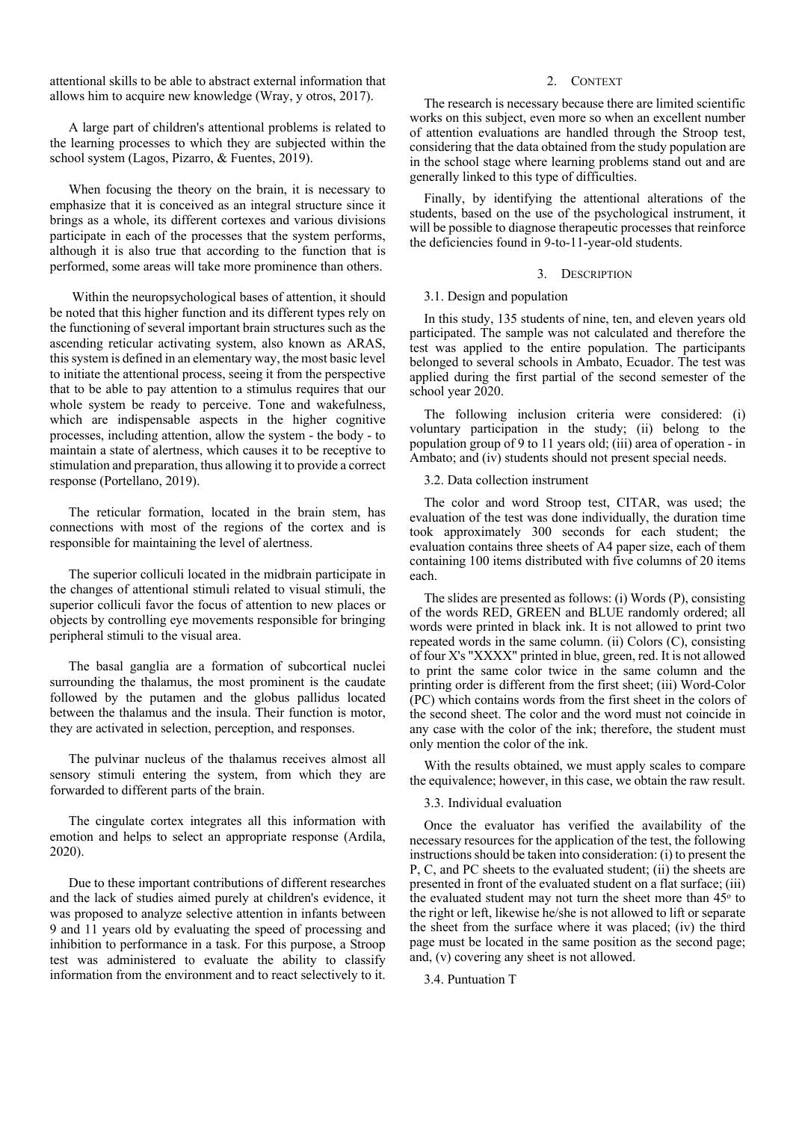attentional skills to be able to abstract external information that allows him to acquire new knowledge (Wray, y otros, 2017).

A large part of children's attentional problems is related to the learning processes to which they are subjected within the school system (Lagos, Pizarro, & Fuentes, 2019).

When focusing the theory on the brain, it is necessary to emphasize that it is conceived as an integral structure since it brings as a whole, its different cortexes and various divisions participate in each of the processes that the system performs, although it is also true that according to the function that is performed, some areas will take more prominence than others.

Within the neuropsychological bases of attention, it should be noted that this higher function and its different types rely on the functioning of several important brain structures such as the ascending reticular activating system, also known as ARAS, this system is defined in an elementary way, the most basic level to initiate the attentional process, seeing it from the perspective that to be able to pay attention to a stimulus requires that our whole system be ready to perceive. Tone and wakefulness, which are indispensable aspects in the higher cognitive processes, including attention, allow the system - the body - to maintain a state of alertness, which causes it to be receptive to stimulation and preparation, thus allowing it to provide a correct response (Portellano, 2019).

The reticular formation, located in the brain stem, has connections with most of the regions of the cortex and is responsible for maintaining the level of alertness.

The superior colliculi located in the midbrain participate in the changes of attentional stimuli related to visual stimuli, the superior colliculi favor the focus of attention to new places or objects by controlling eye movements responsible for bringing peripheral stimuli to the visual area.

The basal ganglia are a formation of subcortical nuclei surrounding the thalamus, the most prominent is the caudate followed by the putamen and the globus pallidus located between the thalamus and the insula. Their function is motor, they are activated in selection, perception, and responses.

The pulvinar nucleus of the thalamus receives almost all sensory stimuli entering the system, from which they are forwarded to different parts of the brain.

The cingulate cortex integrates all this information with emotion and helps to select an appropriate response (Ardila, 2020).

Due to these important contributions of different researches and the lack of studies aimed purely at children's evidence, it was proposed to analyze selective attention in infants between 9 and 11 years old by evaluating the speed of processing and inhibition to performance in a task. For this purpose, a Stroop test was administered to evaluate the ability to classify information from the environment and to react selectively to it.

# 2. CONTEXT

The research is necessary because there are limited scientific works on this subject, even more so when an excellent number of attention evaluations are handled through the Stroop test, considering that the data obtained from the study population are in the school stage where learning problems stand out and are generally linked to this type of difficulties.

Finally, by identifying the attentional alterations of the students, based on the use of the psychological instrument, it will be possible to diagnose therapeutic processes that reinforce the deficiencies found in 9-to-11-year-old students.

#### 3. DESCRIPTION

## 3.1. Design and population

In this study, 135 students of nine, ten, and eleven years old participated. The sample was not calculated and therefore the test was applied to the entire population. The participants belonged to several schools in Ambato, Ecuador. The test was applied during the first partial of the second semester of the school year 2020.

The following inclusion criteria were considered: (i) voluntary participation in the study; (ii) belong to the population group of 9 to 11 years old; (iii) area of operation - in Ambato; and (iv) students should not present special needs.

3.2. Data collection instrument

The color and word Stroop test, CITAR, was used; the evaluation of the test was done individually, the duration time took approximately 300 seconds for each student; the evaluation contains three sheets of A4 paper size, each of them containing 100 items distributed with five columns of 20 items each.

The slides are presented as follows: (i) Words (P), consisting of the words RED, GREEN and BLUE randomly ordered; all words were printed in black ink. It is not allowed to print two repeated words in the same column. (ii) Colors (C), consisting of four X's "XXXX" printed in blue, green, red. It is not allowed to print the same color twice in the same column and the printing order is different from the first sheet; (iii) Word-Color (PC) which contains words from the first sheet in the colors of the second sheet. The color and the word must not coincide in any case with the color of the ink; therefore, the student must only mention the color of the ink.

With the results obtained, we must apply scales to compare the equivalence; however, in this case, we obtain the raw result.

## 3.3. Individual evaluation

Once the evaluator has verified the availability of the necessary resources for the application of the test, the following instructions should be taken into consideration: (i) to present the P, C, and PC sheets to the evaluated student; (ii) the sheets are presented in front of the evaluated student on a flat surface; (iii) the evaluated student may not turn the sheet more than  $45^\circ$  to the right or left, likewise he/she is not allowed to lift or separate the sheet from the surface where it was placed; (iv) the third page must be located in the same position as the second page; and, (v) covering any sheet is not allowed.

3.4. Puntuation T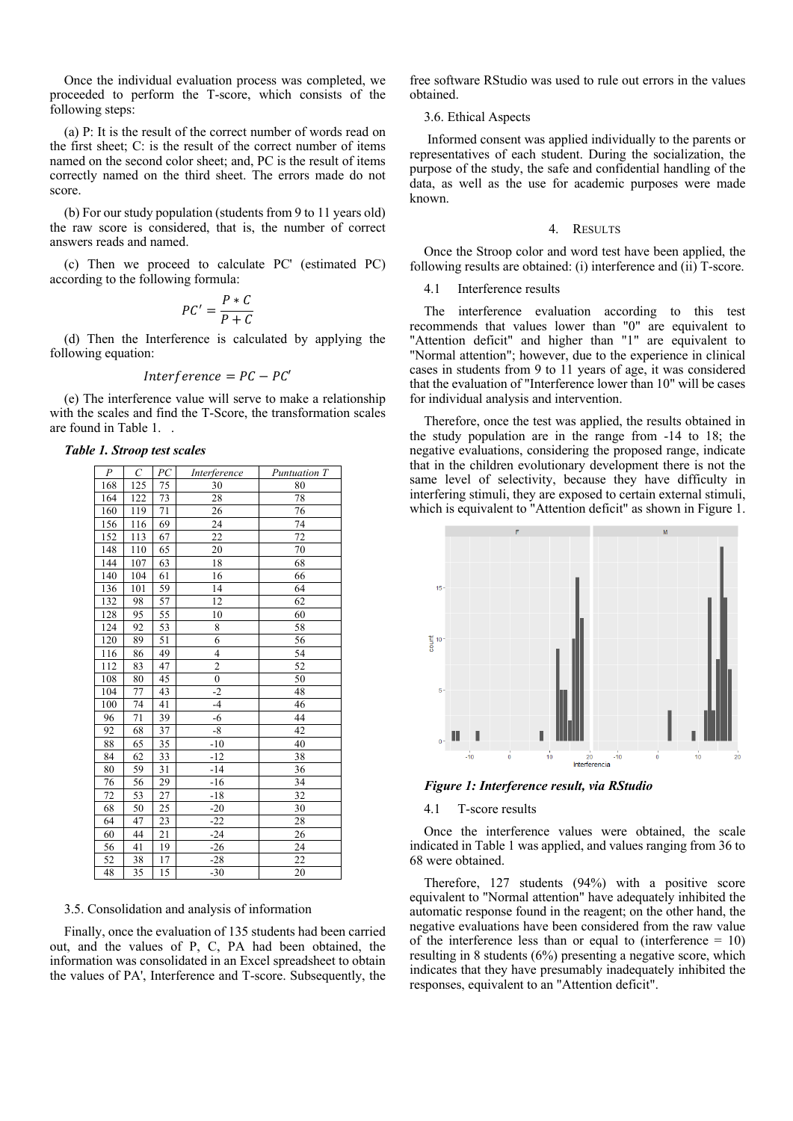Once the individual evaluation process was completed, we proceeded to perform the T-score, which consists of the following steps:

(a) P: It is the result of the correct number of words read on the first sheet; C: is the result of the correct number of items named on the second color sheet; and, PC is the result of items correctly named on the third sheet. The errors made do not score.

(b) For our study population (students from 9 to 11 years old) the raw score is considered, that is, the number of correct answers reads and named.

(c) Then we proceed to calculate PC' (estimated PC) according to the following formula:

$$
PC' = \frac{P * C}{P + C}
$$

(d) Then the Interference is calculated by applying the following equation:

$$
Interference = PC - PC'
$$

(e) The interference value will serve to make a relationship with the scales and find the T-Score, the transformation scales are found in Table 1. .

| $\boldsymbol{P}$ | $\mathcal{C}_{0}^{0}$ | PC | Interference   | Puntuation T |
|------------------|-----------------------|----|----------------|--------------|
| 168              | 125                   | 75 | 30             | 80           |
| 164              | 122                   | 73 | 28             | 78           |
| 160              | 119                   | 71 | 26             | 76           |
| 156              | 116                   | 69 | 24             | 74           |
| 152              | 113                   | 67 | 22             | 72           |
| 148              | 110                   | 65 | 20             | 70           |
| 144              | 107                   | 63 | 18             | 68           |
| 140              | 104                   | 61 | 16             | 66           |
| 136              | 101                   | 59 | 14             | 64           |
| 132              | 98                    | 57 | 12             | 62           |
| 128              | 95                    | 55 | 10             | 60           |
| 124              | 92                    | 53 | 8              | 58           |
| 120              | 89                    | 51 | 6              | 56           |
| 116              | 86                    | 49 | $\overline{4}$ | 54           |
| 112              | 83                    | 47 | $\overline{c}$ | 52           |
| 108              | 80                    | 45 | $\overline{0}$ | 50           |
| 104              | 77                    | 43 | $-2$           | 48           |
| 100              | 74                    | 41 | $-4$           | 46           |
| 96               | 71                    | 39 | $-6$           | 44           |
| 92               | 68                    | 37 | $-8$           | 42           |
| 88               | 65                    | 35 | $-10$          | 40           |
| 84               | 62                    | 33 | $-12$          | 38           |
| 80               | 59                    | 31 | $-14$          | 36           |
| 76               | 56                    | 29 | $-16$          | 34           |
| 72               | 53                    | 27 | $-18$          | 32           |
| 68               | 50                    | 25 | $-20$          | 30           |
| 64               | 47                    | 23 | $-22$          | 28           |
| 60               | 44                    | 21 | $-24$          | 26           |
| 56               | 41                    | 19 | $-26$          | 24           |
| $\overline{52}$  | 38                    | 17 | $-28$          | 22           |
| 48               | $\overline{35}$       | 15 | $-30$          | 20           |

*Table 1. Stroop test scales*

# 3.5. Consolidation and analysis of information

Finally, once the evaluation of 135 students had been carried out, and the values of P, C, PA had been obtained, the information was consolidated in an Excel spreadsheet to obtain the values of PA', Interference and T-score. Subsequently, the free software RStudio was used to rule out errors in the values obtained.

### 3.6. Ethical Aspects

Informed consent was applied individually to the parents or representatives of each student. During the socialization, the purpose of the study, the safe and confidential handling of the data, as well as the use for academic purposes were made known.

#### 4. RESULTS

Once the Stroop color and word test have been applied, the following results are obtained: (i) interference and (ii) T-score.

# 4.1 Interference results

The interference evaluation according to this test recommends that values lower than "0" are equivalent to "Attention deficit" and higher than "1" are equivalent to "Normal attention"; however, due to the experience in clinical cases in students from 9 to 11 years of age, it was considered that the evaluation of "Interference lower than 10" will be cases for individual analysis and intervention.

Therefore, once the test was applied, the results obtained in the study population are in the range from -14 to 18; the negative evaluations, considering the proposed range, indicate that in the children evolutionary development there is not the same level of selectivity, because they have difficulty in interfering stimuli, they are exposed to certain external stimuli, which is equivalent to "Attention deficit" as shown in Figure 1.



*Figure 1: Interference result, via RStudio*

#### 4.1 T-score results

Once the interference values were obtained, the scale indicated in Table 1 was applied, and values ranging from 36 to 68 were obtained.

Therefore, 127 students (94%) with a positive score equivalent to "Normal attention" have adequately inhibited the automatic response found in the reagent; on the other hand, the negative evaluations have been considered from the raw value of the interference less than or equal to (interference  $= 10$ ) resulting in 8 students (6%) presenting a negative score, which indicates that they have presumably inadequately inhibited the responses, equivalent to an "Attention deficit".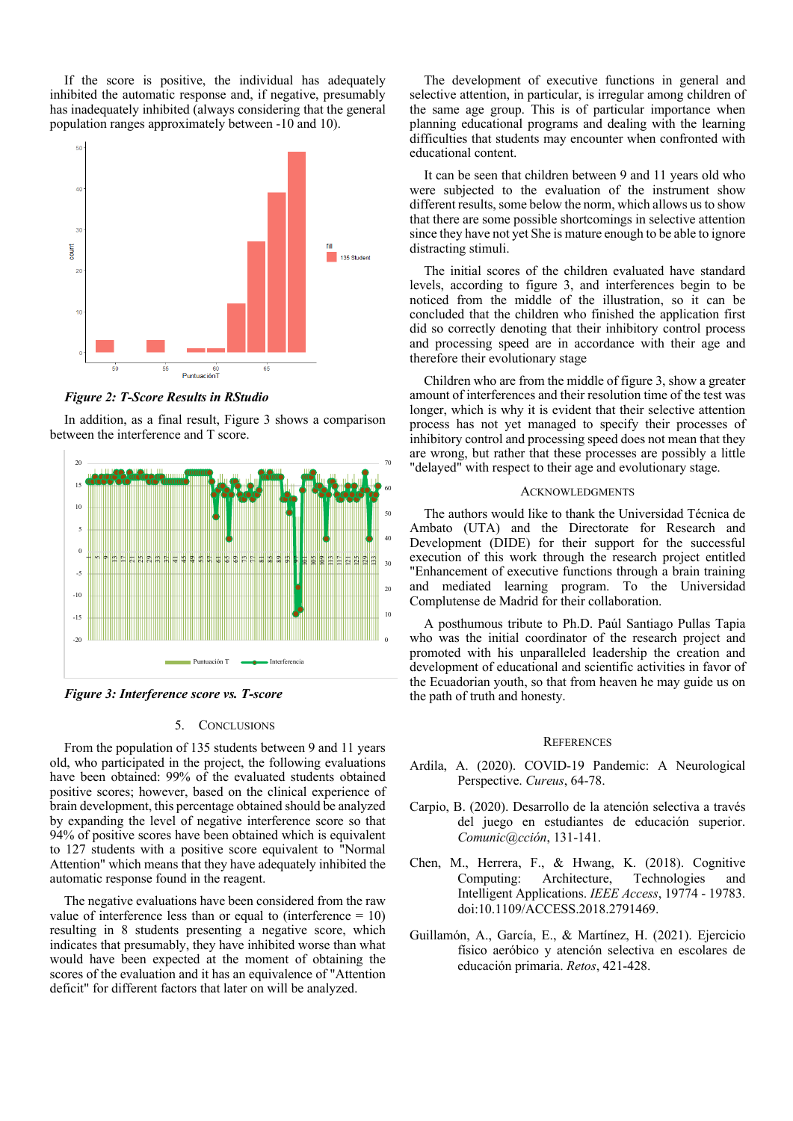If the score is positive, the individual has adequately inhibited the automatic response and, if negative, presumably has inadequately inhibited (always considering that the general population ranges approximately between -10 and 10).



*Figure 2: T-Score Results in RStudio*

In addition, as a final result, Figure 3 shows a comparison between the interference and T score.



*Figure 3: Interference score vs. T-score*

# 5. CONCLUSIONS

From the population of 135 students between 9 and 11 years old, who participated in the project, the following evaluations have been obtained: 99% of the evaluated students obtained positive scores; however, based on the clinical experience of brain development, this percentage obtained should be analyzed by expanding the level of negative interference score so that 94% of positive scores have been obtained which is equivalent to 127 students with a positive score equivalent to "Normal Attention" which means that they have adequately inhibited the automatic response found in the reagent.

The negative evaluations have been considered from the raw value of interference less than or equal to (interference  $= 10$ ) resulting in 8 students presenting a negative score, which indicates that presumably, they have inhibited worse than what would have been expected at the moment of obtaining the scores of the evaluation and it has an equivalence of "Attention deficit" for different factors that later on will be analyzed.

The development of executive functions in general and selective attention, in particular, is irregular among children of the same age group. This is of particular importance when planning educational programs and dealing with the learning difficulties that students may encounter when confronted with educational content.

It can be seen that children between 9 and 11 years old who were subjected to the evaluation of the instrument show different results, some below the norm, which allows us to show that there are some possible shortcomings in selective attention since they have not yet She is mature enough to be able to ignore distracting stimuli.

The initial scores of the children evaluated have standard levels, according to figure 3, and interferences begin to be noticed from the middle of the illustration, so it can be concluded that the children who finished the application first did so correctly denoting that their inhibitory control process and processing speed are in accordance with their age and therefore their evolutionary stage

Children who are from the middle of figure 3, show a greater amount of interferences and their resolution time of the test was longer, which is why it is evident that their selective attention process has not yet managed to specify their processes of inhibitory control and processing speed does not mean that they are wrong, but rather that these processes are possibly a little "delayed" with respect to their age and evolutionary stage.

# ACKNOWLEDGMENTS

The authors would like to thank the Universidad Técnica de Ambato (UTA) and the Directorate for Research and Development (DIDE) for their support for the successful execution of this work through the research project entitled "Enhancement of executive functions through a brain training and mediated learning program. To the Universidad Complutense de Madrid for their collaboration.

A posthumous tribute to Ph.D. Paúl Santiago Pullas Tapia who was the initial coordinator of the research project and promoted with his unparalleled leadership the creation and development of educational and scientific activities in favor of the Ecuadorian youth, so that from heaven he may guide us on the path of truth and honesty.

### **REFERENCES**

- Ardila, A. (2020). COVID-19 Pandemic: A Neurological Perspective. *Cureus*, 64-78.
- Carpio, B. (2020). Desarrollo de la atención selectiva a través del juego en estudiantes de educación superior. *Comunic@cción*, 131-141.
- Chen, M., Herrera, F., & Hwang, K. (2018). Cognitive Computing: Architecture, Technologies and Intelligent Applications. *IEEE Access*, 19774 - 19783. doi:10.1109/ACCESS.2018.2791469.
- Guillamón, A., García, E., & Martínez, H. (2021). Ejercicio físico aeróbico y atención selectiva en escolares de educación primaria. *Retos*, 421-428.